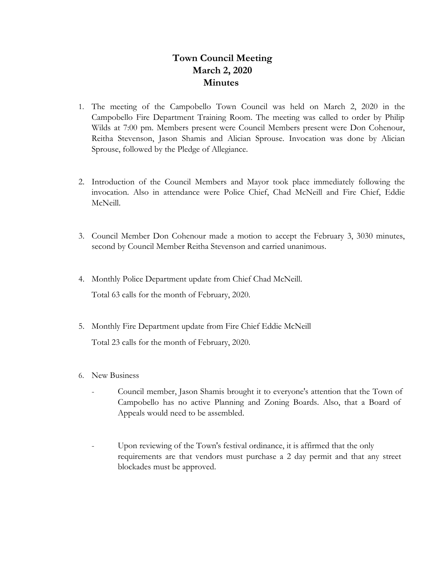## **Town Council Meeting March 2, 2020 Minutes**

- 1. The meeting of the Campobello Town Council was held on March 2, 2020 in the Campobello Fire Department Training Room. The meeting was called to order by Philip Wilds at 7:00 pm. Members present were Council Members present were Don Cohenour, Reitha Stevenson, Jason Shamis and Alician Sprouse. Invocation was done by Alician Sprouse, followed by the Pledge of Allegiance.
- 2. Introduction of the Council Members and Mayor took place immediately following the invocation. Also in attendance were Police Chief, Chad McNeill and Fire Chief, Eddie McNeill.
- 3. Council Member Don Cohenour made a motion to accept the February 3, 3030 minutes, second by Council Member Reitha Stevenson and carried unanimous.
- 4. Monthly Police Department update from Chief Chad McNeill. Total 63 calls for the month of February, 2020.
- 5. Monthly Fire Department update from Fire Chief Eddie McNeill

Total 23 calls for the month of February, 2020.

- 6. New Business
	- Council member, Jason Shamis brought it to everyone's attention that the Town of Campobello has no active Planning and Zoning Boards. Also, that a Board of Appeals would need to be assembled.
	- Upon reviewing of the Town's festival ordinance, it is affirmed that the only requirements are that vendors must purchase a 2 day permit and that any street blockades must be approved.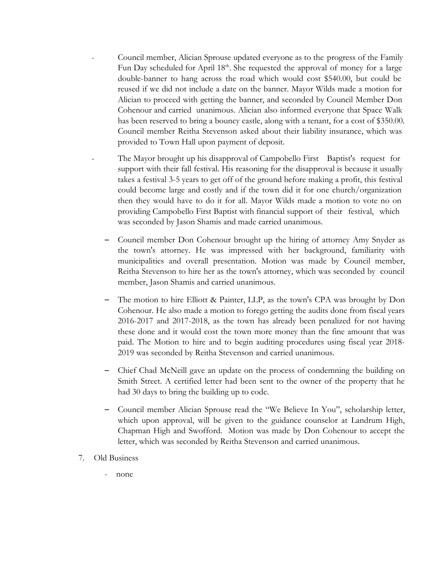- Council member, Alician Sprouse updated everyone as to the progress of the Family Fun Day scheduled for April 18<sup>th</sup>. She requested the approval of money for a large double-banner to hang across the road which would cost \$540.00, but could be reused if we did not include a date on the banner. Mayor Wilds made a motion for Alician to proceed with getting the banner, and seconded by Council Member Don Cohenour and carried unanimous. Alician also informed everyone that Space Walk has been reserved to bring a bouncy castle, along with a tenant, for a cost of \$350.00. Council member Reitha Stevenson asked about their liability insurance, which was provided to Town Hall upon payment of deposit.
- The Mayor brought up his disapproval of Campobello First Baptist's request for support with their fall festival. His reasoning for the disapproval is because it usually takes a festival 3-5 years to get off of the ground before making a profit, this festival could become large and costly and if the town did it for one church/organization then they would have to do it for all. Mayor Wilds made a motion to vote no on providing Campobello First Baptist with financial support of their festival, which was seconded by Jason Shamis and made carried unanimous.
	- Council member Don Cohenour brought up the hiring of attorney Amy Snyder as the town's attorney. He was impressed with her background, familiarity with municipalities and overall presentation. Motion was made by Council member, Reitha Stevenson to hire her as the town's attorney, which was seconded by council member, Jason Shamis and carried unanimous.
	- The motion to hire Elliott & Painter, LLP, as the town's CPA was brought by Don Cohenour. He also made a motion to forego getting the audits done from fiscal years 2016-2017 and 2017-2018, as the town has already been penalized for not having these done and it would cost the town more money than the fine amount that was paid. The Motion to hire and to begin auditing procedures using fiscal year 2018- 2019 was seconded by Reitha Stevenson and carried unanimous.
	- Chief Chad McNeill gave an update on the process of condemning the building on Smith Street. A certified letter had been sent to the owner of the property that he had 30 days to bring the building up to code.
	- Council member Alician Sprouse read the "We Believe In You", scholarship letter, which upon approval, will be given to the guidance counselor at Landrum High, Chapman High and Swofford. Motion was made by Don Cohenour to accept the letter, which was seconded by Reitha Stevenson and carried unanimous.
- 7. Old Business
	- none